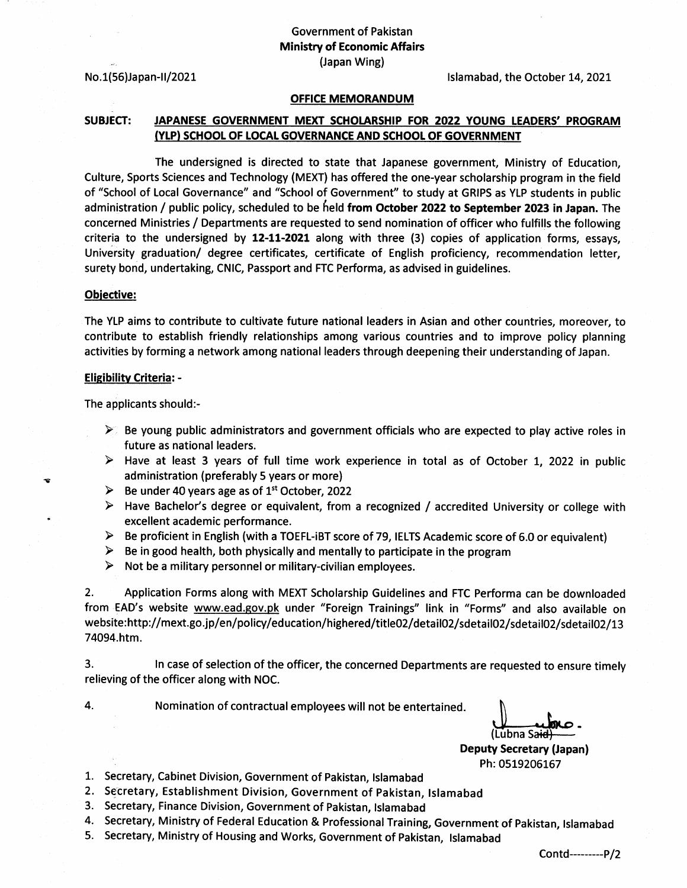$No.1(56)$ Japan-II/2021

Islamabad, the October 14, 2021

## OFFICE MEMORANDUM

# SUBJECT: JAPANESE GOVERNMENT MEXT SCHOLARSHIP FOR 2022 YOUNG LEADERS' PROGRAM (YtP) SCHOOL OF LOCAL GOVERNANCE AND SCHOOL OF GOVERNMENT

The undersigned is directed to state that Japanese government, Ministry of Education, Culture, Sports Sciences and Technology (MEXT) has offered the one-year scholarship program in the field of "School of Local Governance" and "School of Government" to study at GRIPS as YLP students in public administration / public policy, scheduled to be held from October 2022 to September 2023 in Japan. The concerned Ministries / Departments are requested to send nomination of officer who fulfills the following criteria to the undersigned by  $12-11-2021$  along with three (3) copies of application forms, essays, University graduation/ degree certificates, certificate of English proficiency, recommendation letter, surety bond, undertaking, CNIC, Passport and FTC Performa, as advised in guidelines.

### Obiective:

The YLP aims to contribute to cultivate future national leaders in Asian and other countries, moreover, to contribute to establish friendly relationships among various countries and to improve policy planning activities by forming a network among national leaders through deepening their understanding of Japan.

### **Eligibility Criteria: -**

The applicants should:-

- $\geq$  Be young public administrators and government officials who are expected to play active roles in future as national leaders.
- $\triangleright$  Have at least 3 years of full time work experience in total as of October 1, 2022 in public administration (preferably 5 years or more)
- $\triangleright$  Be under 40 years age as of 1<sup>st</sup> October, 2022
- > Have Bachelor's degree or equivalent, from a recognized / accredited University or college with excellent academic performance.
- $\blacktriangleright$ Be proficient in English (with a TOEFL-iBT score of 79, IELTS Academic score of 6.0 or equivalent)
- $\blacktriangleright$ Be in good health, both physically and mentally to participate in the program
- ➤ Not be a military personnel or military-civilian employees.

2. Application Forms along with MEXT Scholarship Guidelines and FTC Performa can be downloaded from EAD's website www.ead.gov.pk under "Foreign Trainings" link in "Forms" and also available on website:http://mext.go.jp/en/policy/education/highered/title02/detail02/sdetail02/sdetail02/sdetail02/13 74094.htm.

3. ln case of selection of the officer, the concerned Departments are requested to ensure timety relieving of the officer along with NOC.

4

L

Nomination of contractual employees will not be entertained.

(Lubna Sa<del>ic</del>

Deputy Secretary (Japan) Ph: 0519206167

- 1. Secretary, Cabinet Division, Government of Pakistan, Islamabad
- 2. Secretary, Establishment Division, Government of Pakistan, Islamabad
- 3. Secretary, Finance Division, Government of Pakistan, Islamabad
- 4. Secretary, Ministry of Federal Education & Professional Training, Government of Pakistan, Islamabad<br>5. Secretary, Ministry of Housing and Works, Government of Pakistan, Islamabad
- 

Contd---------P/2